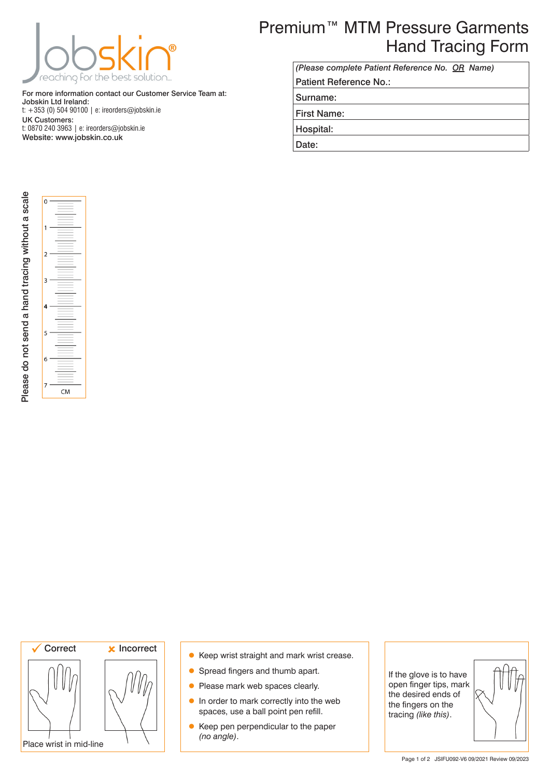

For more information contact our Customer Service Team at: Jobskin Ltd Ireland: t: +353 (0) 504 90100 | e: ireorders@jobskin.ie UK Customers: t: 0870 240 3963 | e: ireorders@jobskin.ie Website: www.jobskin.co.uk

## Premium™ MTM Pressure Garments Hand Tracing Form

| (Please complete Patient Reference No. OR Name) |
|-------------------------------------------------|
| Patient Reference No.:                          |
| Surname:                                        |
| <b>First Name:</b>                              |
| Hospital:                                       |
| Date:                                           |
|                                                 |



 $CM$ 

۱۸



- Keep wrist straight and mark wrist crease.
- **Spread fingers and thumb apart.**
- Please mark web spaces clearly.
- **In order to mark correctly into the web** spaces, use a ball point pen refill.
- Keep pen perpendicular to the paper *(no angle)*.

If the glove is to have open finger tips, mark the desired ends of the fingers on the tracing *(like this)*.